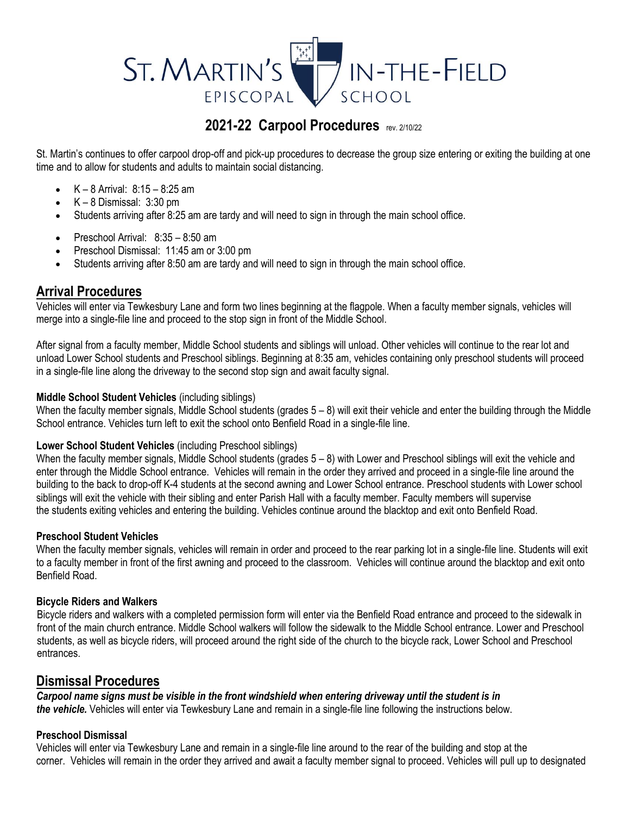# ST. MARTIN'S IN-THE-FIELD EPISCOPAL SCHOOL

## **2021-22 Carpool Procedures** rev. 2/10/22

St. Martin's continues to offer carpool drop-off and pick-up procedures to decrease the group size entering or exiting the building at one time and to allow for students and adults to maintain social distancing.

- $K 8$  Arrival:  $8:15 8:25$  am
- $\bullet$  K 8 Dismissal: 3:30 pm
- Students arriving after 8:25 am are tardy and will need to sign in through the main school office.
- Preschool Arrival: 8:35 8:50 am
- Preschool Dismissal: 11:45 am or 3:00 pm
- Students arriving after 8:50 am are tardy and will need to sign in through the main school office.

## **Arrival Procedures**

Vehicles will enter via Tewkesbury Lane and form two lines beginning at the flagpole. When a faculty member signals, vehicles will merge into a single-file line and proceed to the stop sign in front of the Middle School.

After signal from a faculty member, Middle School students and siblings will unload. Other vehicles will continue to the rear lot and unload Lower School students and Preschool siblings. Beginning at 8:35 am, vehicles containing only preschool students will proceed in a single-file line along the driveway to the second stop sign and await faculty signal.

#### **Middle School Student Vehicles** (including siblings)

When the faculty member signals, Middle School students (grades  $5-8$ ) will exit their vehicle and enter the building through the Middle School entrance. Vehicles turn left to exit the school onto Benfield Road in a single-file line.

#### **Lower School Student Vehicles** (including Preschool siblings)

When the faculty member signals, Middle School students (grades  $5-8$ ) with Lower and Preschool siblings will exit the vehicle and enter through the Middle School entrance. Vehicles will remain in the order they arrived and proceed in a single-file line around the building to the back to drop-off K-4 students at the second awning and Lower School entrance. Preschool students with Lower school siblings will exit the vehicle with their sibling and enter Parish Hall with a faculty member. Faculty members will supervise the students exiting vehicles and entering the building. Vehicles continue around the blacktop and exit onto Benfield Road.

#### **Preschool Student Vehicles**

When the faculty member signals, vehicles will remain in order and proceed to the rear parking lot in a single-file line. Students will exit to a faculty member in front of the first awning and proceed to the classroom. Vehicles will continue around the blacktop and exit onto Benfield Road.

#### **Bicycle Riders and Walkers**

Bicycle riders and walkers with a completed permission form will enter via the Benfield Road entrance and proceed to the sidewalk in front of the main church entrance. Middle School walkers will follow the sidewalk to the Middle School entrance. Lower and Preschool students, as well as bicycle riders, will proceed around the right side of the church to the bicycle rack, Lower School and Preschool entrances.

### **Dismissal Procedures**

*Carpool name signs must be visible in the front windshield when entering driveway until the student is in the vehicle.* Vehicles will enter via Tewkesbury Lane and remain in a single-file line following the instructions below.

#### **Preschool Dismissal**

Vehicles will enter via Tewkesbury Lane and remain in a single-file line around to the rear of the building and stop at the corner. Vehicles will remain in the order they arrived and await a faculty member signal to proceed. Vehicles will pull up to designated